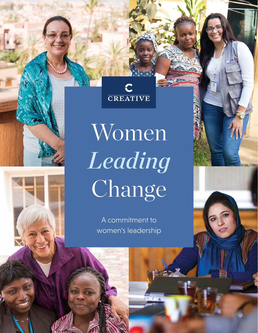

Women *Leading* Change

> A commitment to women's leadership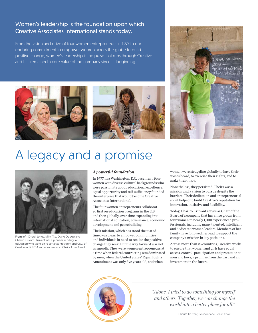## Women's leadership is the foundation upon which Creative Associates International stands today.

From the vision and drive of four women entrepreneurs in 1977 to our enduring commitment to empower women across the globe to build positive change, women's leadership is the pulse that runs through Creative and has remained a core value of the company since its beginning.







# A legacy and a promise



From left: Cheryl Jones, Mimi Tse, Diane Dodge and Charito Kruvant. Kruvant was a pioneer in bilingual education who went on to serve as President and CEO of Creative until 2014 and now serves as Chair of the Board.

#### *A powerful foundation*

In 1977 in a Washington, D.C. basement, four women with diverse cultural backgrounds who were passionate about educational excellence, equal opportunity and self-sufficiency founded the enterprise that would become Creative Associates International.

The four women entrepreneurs collaborated first on education programs in the U.S. and then globally, over time expanding into international education, governance, economic development and peacebuilding.

Their mission, which has stood the test of time, was clear: to empower communities and individuals in need to realize the positive change they seek. But the way forward was not as smooth. They were women entrepreneurs at a time when federal contracting was dominated by men, when the United States' Equal Rights Amendment was only five years old, and when

women were struggling globally to have their voices heard, to exercise their rights, and to make their mark.

Nonetheless, they persisted. Theirs was a mission and a vision to pursue despite the barriers. Their dedication and entrepreneurial spirit helped to build Creative's reputation for innovation, initiative and flexibility.

Today, Charito Kruvant serves as Chair of the Board of a company that has since grown from four women to nearly 1,000 experienced professionals, including many talented, intelligent and dedicated women leaders. Members of her family have followed her lead to support the company's mission in key positions.

Across more than 25 countries, Creative works to ensure that women and girls have equal access, control, participation and protection to men and boys, a promise from the past and an investment in the future.



*"Alone, I tried to do something for myself and others. Together, we can change the world into a better place for all."* 

– Charito Kruvant, Founder and Board Chair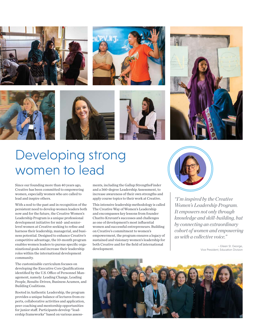





## Developing strong women to lead

Since our founding more than 40 years ago, Creative has been committed to empowering women, especially women who are called to lead and inspire others.

With a nod to the past and in recognition of the persistent need to develop women leaders both now and for the future, the Creative Women's Leadership Program is a unique professional development initiative for mid- and seniorlevel women at Creative seeking to refine and harness their leadership, managerial, and business potential. Designed to enhance Creative's competitive advantage, the 10-month program enables women leaders to pursue specific organizational goals and increase their leadership roles within the international development community.

The customizable curriculum focuses on developing the Executive Core Qualifications identified by the U.S. Office of Personnel Management, namely: Leading Change, Leading People, Results-Driven, Business Acumen, and Building Coalitions.

Rooted in Authentic Leadership, the program provides a unique balance of lectures from experts, collaborative activities and application, peer coaching and mentorship opportunities for junior staff. Participants develop "leadership frameworks" based on various assess-

ments, including the Gallup StrengthsFinder and a 360-degree Leadership Assessment, to increase awareness of their own strengths and apply course topics to their work at Creative.

This intensive leadership methodology is called The Creative Way of Women's Leadership and encompasses key lessons from founder Charito Kruvant's successes and challenges as one of development's most influential women and successful entrepreneurs. Building on Creative's commitment to women's empowerment, the program ensures a legacy of sustained and visionary women's leadership for both Creative and for the field of international development.



*"I'm inspired by the Creative Women's Leadership Program. It empowers not only through knowledge and skill-building, but by connecting an extraordinary cohort of women and empowering us with a collective voice."*

> – Eileen St. George, Vice President, Education Division